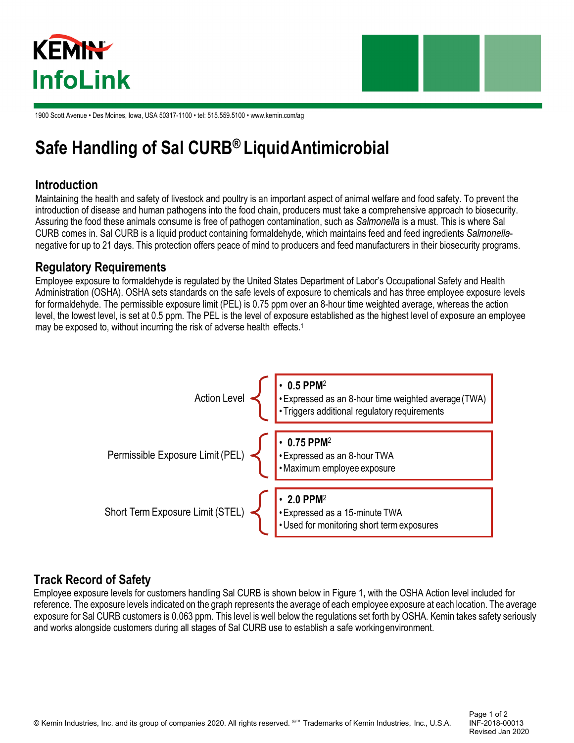



1900 Scott Avenue • Des Moines, Iowa, USA 50317-1100 • tel: 515.559.5100 [• www.kemin.com/ag](http://www.kemin.com/salcurb)

# **Safe Handling of Sal CURB® Liquid Antimicrobial**

### **Introduction**

Maintaining the health and safety of livestock and poultry is an important aspect of animal welfare and food safety. To prevent the introduction of disease and human pathogens into the food chain, producers must take a comprehensive approach to biosecurity. Assuring the food these animals consume is free of pathogen contamination, such as *Salmonella* is a must. This is where Sal CURB comes in. Sal CURB is a liquid product containing formaldehyde, which maintains feed and feed ingredients *Salmonella*negative for up to 21 days. This protection offers peace of mind to producers and feed manufacturers in their biosecurity programs.

#### **Regulatory Requirements**

Employee exposure to formaldehyde is regulated by the United States Department of Labor's Occupational Safety and Health Administration (OSHA). OSHA sets standards on the safe levels of exposure to chemicals and has three employee exposure levels for formaldehyde. The permissible exposure limit (PEL) is 0.75 ppm over an 8-hour time weighted average, whereas the action level, the lowest level, is set at 0.5 ppm. The PEL is the level of exposure established as the highest level of exposure an employee may be exposed to, without incurring the risk of adverse health effects.<sup>1</sup>



### **Track Record of Safety**

Employee exposure levels for customers handling Sal CURB is shown below in Figure 1**,** with the OSHA Action level included for reference. The exposure levels indicated on the graph represents the average of each employee exposure at each location. The average exposure for Sal CURB customers is 0.063 ppm. This level is well below the regulations set forth by OSHA. Kemin takes safety seriously and works alongside customers during all stages of Sal CURB use to establish a safe workingenvironment.